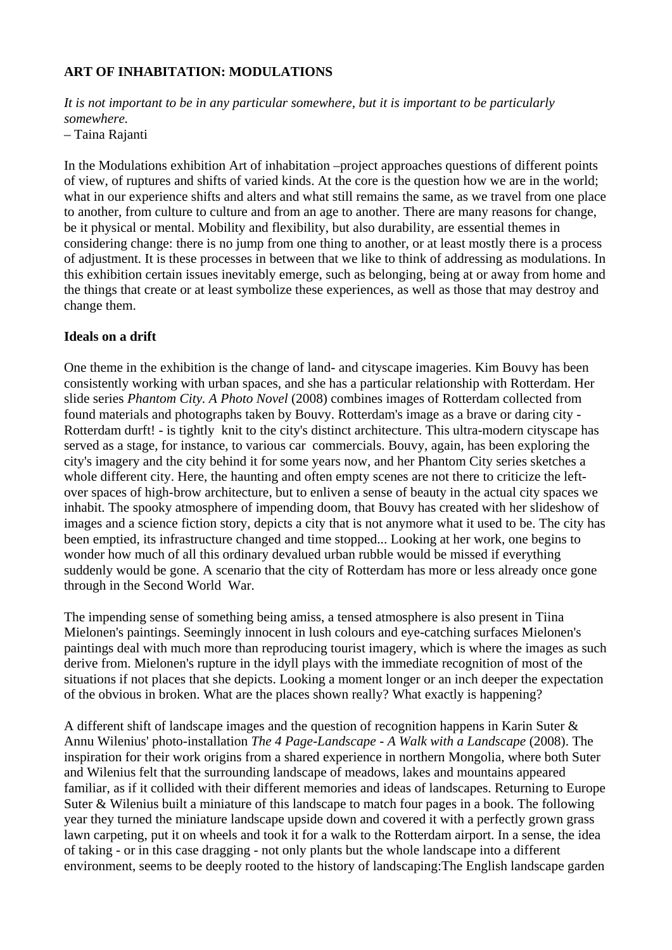## **ART OF INHABITATION: MODULATIONS**

*It is not important to be in any particular somewhere, but it is important to be particularly somewhere.* 

– Taina Rajanti

In the Modulations exhibition Art of inhabitation –project approaches questions of different points of view, of ruptures and shifts of varied kinds. At the core is the question how we are in the world; what in our experience shifts and alters and what still remains the same, as we travel from one place to another, from culture to culture and from an age to another. There are many reasons for change, be it physical or mental. Mobility and flexibility, but also durability, are essential themes in considering change: there is no jump from one thing to another, or at least mostly there is a process of adjustment. It is these processes in between that we like to think of addressing as modulations. In this exhibition certain issues inevitably emerge, such as belonging, being at or away from home and the things that create or at least symbolize these experiences, as well as those that may destroy and change them.

## **Ideals on a drift**

One theme in the exhibition is the change of land- and cityscape imageries. Kim Bouvy has been consistently working with urban spaces, and she has a particular relationship with Rotterdam. Her slide series *Phantom City. A Photo Novel* (2008) combines images of Rotterdam collected from found materials and photographs taken by Bouvy. Rotterdam's image as a brave or daring city - Rotterdam durft! - is tightly knit to the city's distinct architecture. This ultra-modern cityscape has served as a stage, for instance, to various car commercials. Bouvy, again, has been exploring the city's imagery and the city behind it for some years now, and her Phantom City series sketches a whole different city. Here, the haunting and often empty scenes are not there to criticize the leftover spaces of high-brow architecture, but to enliven a sense of beauty in the actual city spaces we inhabit. The spooky atmosphere of impending doom, that Bouvy has created with her slideshow of images and a science fiction story, depicts a city that is not anymore what it used to be. The city has been emptied, its infrastructure changed and time stopped... Looking at her work, one begins to wonder how much of all this ordinary devalued urban rubble would be missed if everything suddenly would be gone. A scenario that the city of Rotterdam has more or less already once gone through in the Second World War.

The impending sense of something being amiss, a tensed atmosphere is also present in Tiina Mielonen's paintings. Seemingly innocent in lush colours and eye-catching surfaces Mielonen's paintings deal with much more than reproducing tourist imagery, which is where the images as such derive from. Mielonen's rupture in the idyll plays with the immediate recognition of most of the situations if not places that she depicts. Looking a moment longer or an inch deeper the expectation of the obvious in broken. What are the places shown really? What exactly is happening?

A different shift of landscape images and the question of recognition happens in Karin Suter & Annu Wilenius' photo-installation *The 4 Page-Landscape - A Walk with a Landscape* (2008). The inspiration for their work origins from a shared experience in northern Mongolia, where both Suter and Wilenius felt that the surrounding landscape of meadows, lakes and mountains appeared familiar, as if it collided with their different memories and ideas of landscapes. Returning to Europe Suter & Wilenius built a miniature of this landscape to match four pages in a book. The following year they turned the miniature landscape upside down and covered it with a perfectly grown grass lawn carpeting, put it on wheels and took it for a walk to the Rotterdam airport. In a sense, the idea of taking - or in this case dragging - not only plants but the whole landscape into a different environment, seems to be deeply rooted to the history of landscaping:The English landscape garden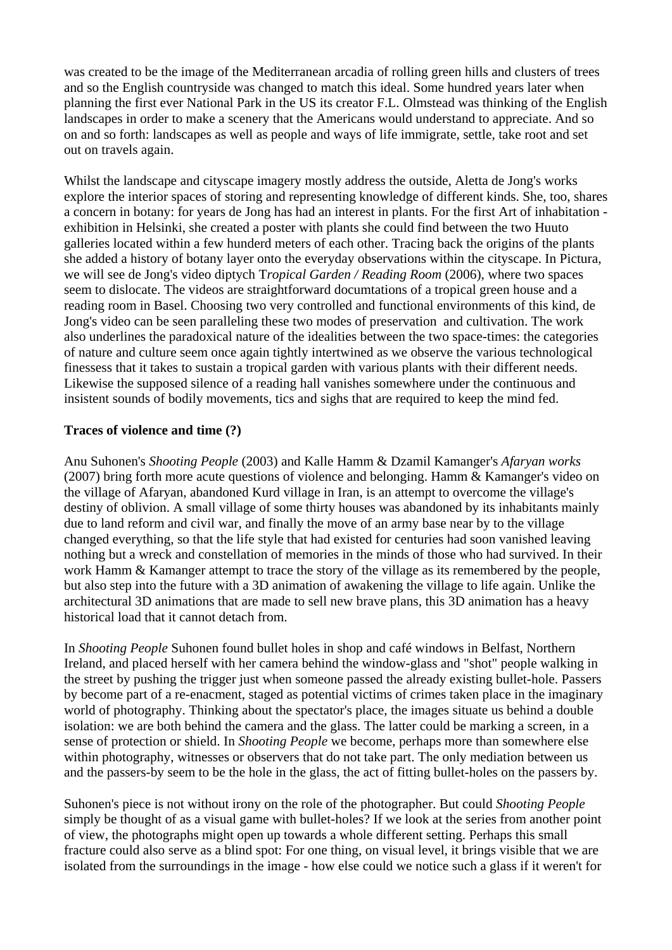was created to be the image of the Mediterranean arcadia of rolling green hills and clusters of trees and so the English countryside was changed to match this ideal. Some hundred years later when planning the first ever National Park in the US its creator F.L. Olmstead was thinking of the English landscapes in order to make a scenery that the Americans would understand to appreciate. And so on and so forth: landscapes as well as people and ways of life immigrate, settle, take root and set out on travels again.

Whilst the landscape and cityscape imagery mostly address the outside, Aletta de Jong's works explore the interior spaces of storing and representing knowledge of different kinds. She, too, shares a concern in botany: for years de Jong has had an interest in plants. For the first Art of inhabitation exhibition in Helsinki, she created a poster with plants she could find between the two Huuto galleries located within a few hunderd meters of each other. Tracing back the origins of the plants she added a history of botany layer onto the everyday observations within the cityscape. In Pictura, we will see de Jong's video diptych T*ropical Garden / Reading Room* (2006), where two spaces seem to dislocate. The videos are straightforward documtations of a tropical green house and a reading room in Basel. Choosing two very controlled and functional environments of this kind, de Jong's video can be seen paralleling these two modes of preservation and cultivation. The work also underlines the paradoxical nature of the idealities between the two space-times: the categories of nature and culture seem once again tightly intertwined as we observe the various technological finessess that it takes to sustain a tropical garden with various plants with their different needs. Likewise the supposed silence of a reading hall vanishes somewhere under the continuous and insistent sounds of bodily movements, tics and sighs that are required to keep the mind fed.

## **Traces of violence and time (?)**

Anu Suhonen's *Shooting People* (2003) and Kalle Hamm & Dzamil Kamanger's *Afaryan works* (2007) bring forth more acute questions of violence and belonging. Hamm & Kamanger's video on the village of Afaryan, abandoned Kurd village in Iran, is an attempt to overcome the village's destiny of oblivion. A small village of some thirty houses was abandoned by its inhabitants mainly due to land reform and civil war, and finally the move of an army base near by to the village changed everything, so that the life style that had existed for centuries had soon vanished leaving nothing but a wreck and constellation of memories in the minds of those who had survived. In their work Hamm & Kamanger attempt to trace the story of the village as its remembered by the people, but also step into the future with a 3D animation of awakening the village to life again. Unlike the architectural 3D animations that are made to sell new brave plans, this 3D animation has a heavy historical load that it cannot detach from.

In *Shooting People* Suhonen found bullet holes in shop and café windows in Belfast, Northern Ireland, and placed herself with her camera behind the window-glass and "shot" people walking in the street by pushing the trigger just when someone passed the already existing bullet-hole. Passers by become part of a re-enacment, staged as potential victims of crimes taken place in the imaginary world of photography. Thinking about the spectator's place, the images situate us behind a double isolation: we are both behind the camera and the glass. The latter could be marking a screen, in a sense of protection or shield. In *Shooting People* we become, perhaps more than somewhere else within photography, witnesses or observers that do not take part. The only mediation between us and the passers-by seem to be the hole in the glass, the act of fitting bullet-holes on the passers by.

Suhonen's piece is not without irony on the role of the photographer. But could *Shooting People* simply be thought of as a visual game with bullet-holes? If we look at the series from another point of view, the photographs might open up towards a whole different setting. Perhaps this small fracture could also serve as a blind spot: For one thing, on visual level, it brings visible that we are isolated from the surroundings in the image - how else could we notice such a glass if it weren't for